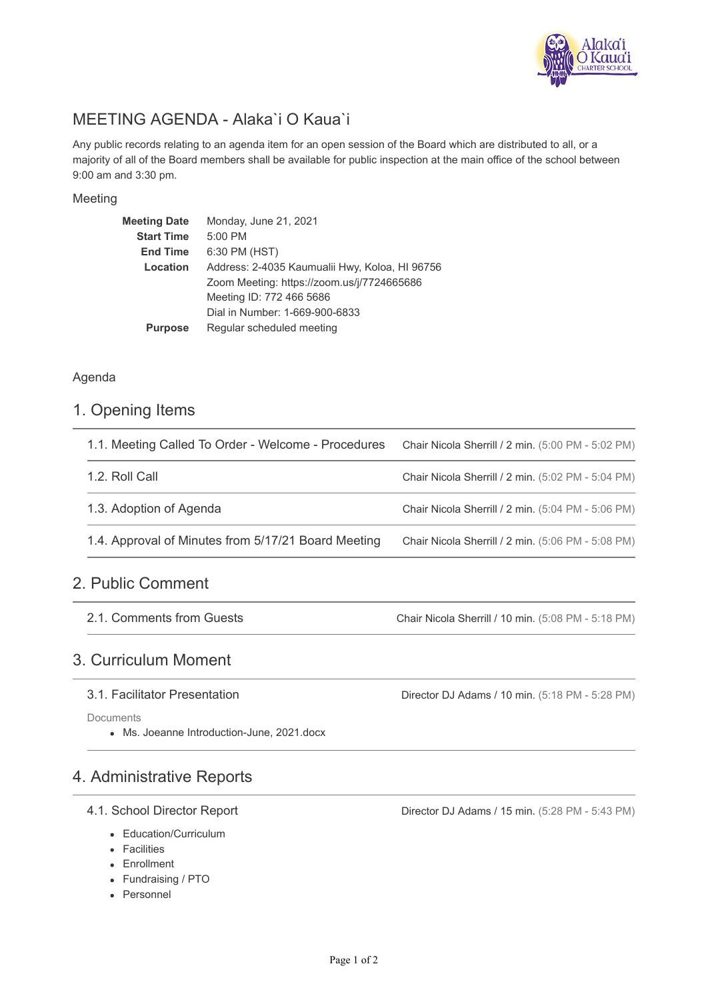

# MEETING AGENDA - Alaka`i O Kaua`i

Any public records relating to an agenda item for an open session of the Board which are distributed to all, or a majority of all of the Board members shall be available for public inspection at the main office of the school between 9:00 am and 3:30 pm.

#### Meeting

| <b>Meeting Date</b> | Monday, June 21, 2021                          |
|---------------------|------------------------------------------------|
| <b>Start Time</b>   | 5:00 PM                                        |
| <b>End Time</b>     | 6:30 PM (HST)                                  |
| Location            | Address: 2-4035 Kaumualii Hwy, Koloa, HI 96756 |
|                     | Zoom Meeting: https://zoom.us/j/7724665686     |
|                     | Meeting ID: 772 466 5686                       |
|                     | Dial in Number: 1-669-900-6833                 |
| <b>Purpose</b>      | Regular scheduled meeting                      |
|                     |                                                |

#### Agenda

## 1. Opening Items

| 1.1. Meeting Called To Order - Welcome - Procedures | Chair Nicola Sherrill / 2 min. (5:00 PM - 5:02 PM) |
|-----------------------------------------------------|----------------------------------------------------|
| 1.2. Roll Call                                      | Chair Nicola Sherrill / 2 min. (5:02 PM - 5:04 PM) |
| 1.3. Adoption of Agenda                             | Chair Nicola Sherrill / 2 min. (5:04 PM - 5:06 PM) |
| 1.4. Approval of Minutes from 5/17/21 Board Meeting | Chair Nicola Sherrill / 2 min. (5:06 PM - 5:08 PM) |
|                                                     |                                                    |

# 2. Public Comment

2.1. Comments from Guests

Chair Nicola Sherrill / 10 min. (5:08 PM - 5:18 PM)

## 3. Curriculum Moment

#### 3.1. Facilitator Presentation

**Documents** 

Ms. Joeanne Introduction-June, 2021.docx

## 4. Administrative Reports

#### 4.1. School Director Report

- Education/Curriculum
- Facilities
- Enrollment
- Fundraising / PTO
- Personnel

Director DJ Adams / 10 min. (5:18 PM - 5:28 PM)

Director DJ Adams / 15 min. (5:28 PM - 5:43 PM)